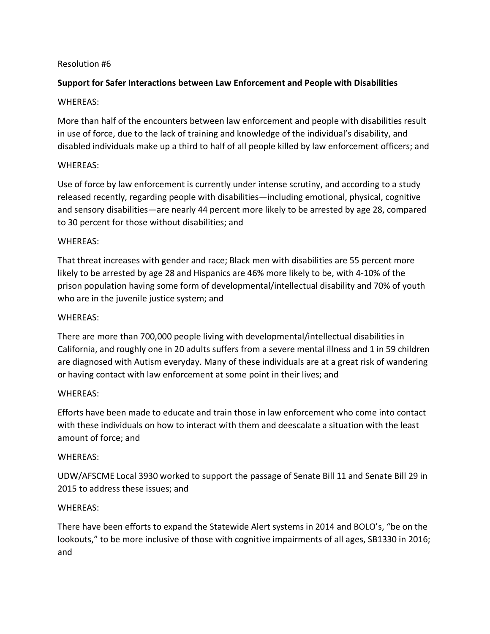# Resolution #6

# **Support for Safer Interactions between Law Enforcement and People with Disabilities**

## WHEREAS:

More than half of the encounters between law enforcement and people with disabilities result in use of force, due to the lack of training and knowledge of the individual's disability, and disabled individuals make up a third to half of all people killed by law enforcement officers; and

# WHEREAS:

Use of force by law enforcement is currently under intense scrutiny, and according to a study released recently, regarding people with disabilities—including emotional, physical, cognitive and sensory disabilities—are nearly 44 percent more likely to be arrested by age 28, compared to 30 percent for those without disabilities; and

#### WHEREAS:

That threat increases with gender and race; Black men with disabilities are 55 percent more likely to be arrested by age 28 and Hispanics are 46% more likely to be, with 4-10% of the prison population having some form of developmental/intellectual disability and 70% of youth who are in the juvenile justice system; and

#### WHEREAS:

There are more than 700,000 people living with developmental/intellectual disabilities in California, and roughly one in 20 adults suffers from a severe mental illness and 1 in 59 children are diagnosed with Autism everyday. Many of these individuals are at a great risk of wandering or having contact with law enforcement at some point in their lives; and

#### WHEREAS:

Efforts have been made to educate and train those in law enforcement who come into contact with these individuals on how to interact with them and deescalate a situation with the least amount of force; and

#### WHEREAS:

UDW/AFSCME Local 3930 worked to support the passage of Senate Bill 11 and Senate Bill 29 in 2015 to address these issues; and

#### WHEREAS:

There have been efforts to expand the Statewide Alert systems in 2014 and BOLO's, "be on the lookouts," to be more inclusive of those with cognitive impairments of all ages, SB1330 in 2016; and